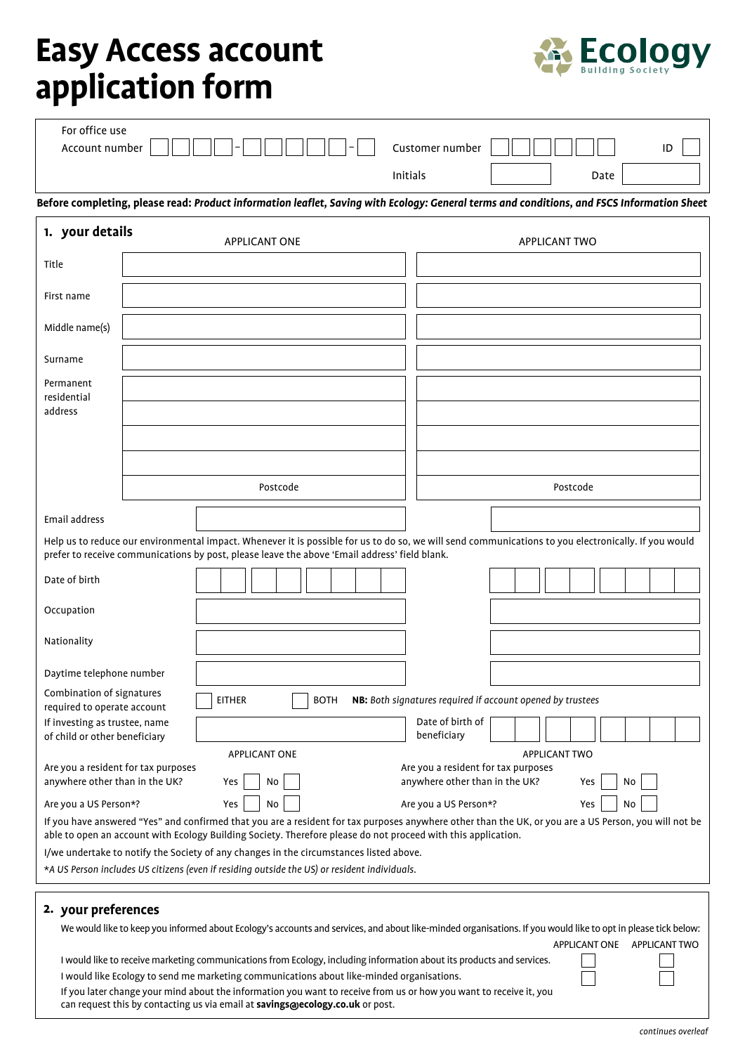## **Easy Access account application form**



| For office use<br>Account number                                                                                                                                                                                                                                                                                                                                                                                                                       |                                                                                                                                                                                                                                                                                                                                                                                                                           | Customer number                 | ID                                                                                                                                                                                           |  |
|--------------------------------------------------------------------------------------------------------------------------------------------------------------------------------------------------------------------------------------------------------------------------------------------------------------------------------------------------------------------------------------------------------------------------------------------------------|---------------------------------------------------------------------------------------------------------------------------------------------------------------------------------------------------------------------------------------------------------------------------------------------------------------------------------------------------------------------------------------------------------------------------|---------------------------------|----------------------------------------------------------------------------------------------------------------------------------------------------------------------------------------------|--|
|                                                                                                                                                                                                                                                                                                                                                                                                                                                        |                                                                                                                                                                                                                                                                                                                                                                                                                           | Initials                        | Date                                                                                                                                                                                         |  |
|                                                                                                                                                                                                                                                                                                                                                                                                                                                        |                                                                                                                                                                                                                                                                                                                                                                                                                           |                                 | Before completing, please read: Product information leaflet, Saving with Ecology: General terms and conditions, and FSCS Information Sheet                                                   |  |
| 1. your details                                                                                                                                                                                                                                                                                                                                                                                                                                        | <b>APPLICANT ONE</b>                                                                                                                                                                                                                                                                                                                                                                                                      |                                 | <b>APPLICANT TWO</b>                                                                                                                                                                         |  |
| Title                                                                                                                                                                                                                                                                                                                                                                                                                                                  |                                                                                                                                                                                                                                                                                                                                                                                                                           |                                 |                                                                                                                                                                                              |  |
| First name                                                                                                                                                                                                                                                                                                                                                                                                                                             |                                                                                                                                                                                                                                                                                                                                                                                                                           |                                 |                                                                                                                                                                                              |  |
| Middle name(s)                                                                                                                                                                                                                                                                                                                                                                                                                                         |                                                                                                                                                                                                                                                                                                                                                                                                                           |                                 |                                                                                                                                                                                              |  |
| Surname                                                                                                                                                                                                                                                                                                                                                                                                                                                |                                                                                                                                                                                                                                                                                                                                                                                                                           |                                 |                                                                                                                                                                                              |  |
| Permanent<br>residential<br>address                                                                                                                                                                                                                                                                                                                                                                                                                    |                                                                                                                                                                                                                                                                                                                                                                                                                           |                                 |                                                                                                                                                                                              |  |
|                                                                                                                                                                                                                                                                                                                                                                                                                                                        | Postcode                                                                                                                                                                                                                                                                                                                                                                                                                  |                                 | Postcode                                                                                                                                                                                     |  |
| Email address                                                                                                                                                                                                                                                                                                                                                                                                                                          |                                                                                                                                                                                                                                                                                                                                                                                                                           |                                 |                                                                                                                                                                                              |  |
|                                                                                                                                                                                                                                                                                                                                                                                                                                                        | prefer to receive communications by post, please leave the above 'Email address' field blank.                                                                                                                                                                                                                                                                                                                             |                                 | Help us to reduce our environmental impact. Whenever it is possible for us to do so, we will send communications to you electronically. If you would                                         |  |
| Date of birth                                                                                                                                                                                                                                                                                                                                                                                                                                          |                                                                                                                                                                                                                                                                                                                                                                                                                           |                                 |                                                                                                                                                                                              |  |
| Occupation                                                                                                                                                                                                                                                                                                                                                                                                                                             |                                                                                                                                                                                                                                                                                                                                                                                                                           |                                 |                                                                                                                                                                                              |  |
| Nationality                                                                                                                                                                                                                                                                                                                                                                                                                                            |                                                                                                                                                                                                                                                                                                                                                                                                                           |                                 |                                                                                                                                                                                              |  |
| Daytime telephone number                                                                                                                                                                                                                                                                                                                                                                                                                               |                                                                                                                                                                                                                                                                                                                                                                                                                           |                                 |                                                                                                                                                                                              |  |
| Combination of signatures<br>required to operate account                                                                                                                                                                                                                                                                                                                                                                                               | <b>EITHER</b><br><b>BOTH</b>                                                                                                                                                                                                                                                                                                                                                                                              |                                 | NB: Both signatures required if account opened by trustees                                                                                                                                   |  |
| If investing as trustee, name<br>of child or other beneficiary                                                                                                                                                                                                                                                                                                                                                                                         |                                                                                                                                                                                                                                                                                                                                                                                                                           | Date of birth of<br>beneficiary |                                                                                                                                                                                              |  |
| <b>APPLICANT TWO</b><br>APPLICANT ONE<br>Are you a resident for tax purposes<br>Are you a resident for tax purposes<br>anywhere other than in the UK?<br>anywhere other than in the UK?<br>Yes<br>No<br>No<br>Yes<br>Yes<br>No<br>Are you a US Person*?<br>Are you a US Person*?<br>Yes<br>No<br>If you have answered "Yes" and confirmed that you are a resident for tax purposes anywhere other than the UK, or you are a US Person, you will not be |                                                                                                                                                                                                                                                                                                                                                                                                                           |                                 |                                                                                                                                                                                              |  |
|                                                                                                                                                                                                                                                                                                                                                                                                                                                        | able to open an account with Ecology Building Society. Therefore please do not proceed with this application.<br>I/we undertake to notify the Society of any changes in the circumstances listed above.<br>*A US Person includes US citizens (even if residing outside the US) or resident individuals.                                                                                                                   |                                 |                                                                                                                                                                                              |  |
| 2. your preferences                                                                                                                                                                                                                                                                                                                                                                                                                                    | I would like to receive marketing communications from Ecology, including information about its products and services.<br>I would like Ecology to send me marketing communications about like-minded organisations.<br>If you later change your mind about the information you want to receive from us or how you want to receive it, you<br>can request this by contacting us via email at savings@ecology.co.uk or post. |                                 | We would like to keep you informed about Ecology's accounts and services, and about like-minded organisations. If you would like to opt in please tick below:<br>APPLICANT ONE APPLICANT TWO |  |